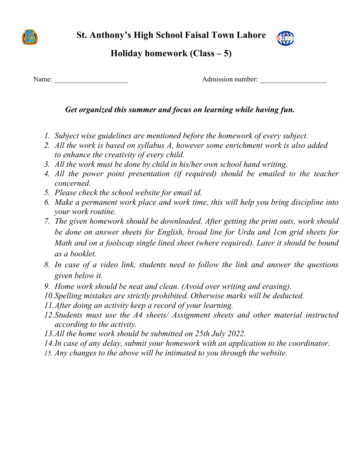**St. Anthony's High School Faisal Town Lahore** 



### **Holiday homework (Class – 5)**

Name: Name: 2008. Admission number: 2008. Admission number: 2008. Admission number: 2008. Admission number: 2008. Admission number: 2008. Admission number: 2008. Admission number: 2008. Admission number: 2008. Admission nu

#### *Get organized this summer and focus on learning while having fun.*

- *1. Subject wise guidelines are mentioned before the homework of every subject.*
- *2. All the work is based on syllabus A, however some enrichment work is also added to enhance the creativity of every child.*
- *3. All the work must be done by child in his/her own school hand writing.*
- *4. All the power point presentation (if required) should be emailed to the teacher concerned.*
- *5. Please check the school website for email id.*
- *6. Make a permanent work place and work time, this will help you bring discipline into your work routine.*
- *7. The given homework should be downloaded. After getting the print outs, work should be done on answer sheets for English, broad line for Urdu and 1cm grid sheets for Math and on a foolscap single lined sheet (where required). Later it should be bound as a booklet.*
- *8. In case of a video link, students need to follow the link and answer the questions given below it.*
- *9. Home work should be neat and clean. (Avoid over writing and erasing).*
- *10.Spelling mistakes are strictly prohibited. Otherwise marks will be deducted.*
- *11.After doing an activity keep a record of your learning.*
- *12.Students must use the A4 sheets/ Assignment sheets and other material instructed according to the activity.*
- *13.All the home work should be submitted on 25th July 2022.*
- *14.In case of any delay, submit your homework with an application to the coordinator.*
- *15. Any changes to the above will be intimated to you through the website.*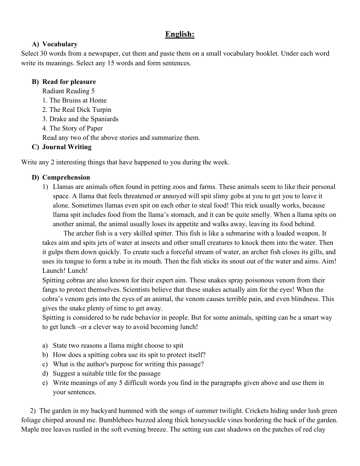#### **English:**

#### **A) Vocabulary**

Select 30 words from a newspaper, cut them and paste them on a small vocabulary booklet. Under each word write its meanings. Select any 15 words and form sentences.

#### **B) Read for pleasure**

Radiant Reading 5

- 1. The Bruins at Home
- 2. The Real Dick Turpin
- 3. Drake and the Spaniards
- 4. The Story of Paper

Read any two of the above stories and summarize them.

#### **C) Journal Writing**

Write any 2 interesting things that have happened to you during the week.

#### **D) Comprehension**

1) Llamas are animals often found in petting zoos and farms. These animals seem to like their personal space. A llama that feels threatened or annoyed will spit slimy gobs at you to get you to leave it alone. Sometimes llamas even spit on each other to steal food! This trick usually works, because llama spit includes food from the llama's stomach, and it can be quite smelly. When a llama spits on another animal, the animal usually loses its appetite and walks away, leaving its food behind.

The archer fish is a very skilled spitter. This fish is like a submarine with a loaded weapon. It takes aim and spits jets of water at insects and other small creatures to knock them into the water. Then it gulps them down quickly. To create such a forceful stream of water, an archer fish closes its gills, and uses its tongue to form a tube in its mouth. Then the fish sticks its snout out of the water and aims. Aim! Launch! Lunch!

Spitting cobras are also known for their expert aim. These snakes spray poisonous venom from their fangs to protect themselves. Scientists believe that these snakes actually aim for the eyes! When the cobra's venom gets into the eyes of an animal, the venom causes terrible pain, and even blindness. This gives the snake plenty of time to get away.

Spitting is considered to be rude behavior in people. But for some animals, spitting can be a smart way to get lunch –or a clever way to avoid becoming lunch!

- a) State two reasons a llama might choose to spit
- b) How does a spitting cobra use its spit to protect itself?
- c) What is the author's purpose for writing this passage?
- d) Suggest a suitable title for the passage
- e) Write meanings of any 5 difficult words you find in the paragraphs given above and use them in your sentences.

 2) The garden in my backyard hummed with the songs of summer twilight. Crickets hiding under lush green foliage chirped around me. Bumblebees buzzed along thick honeysuckle vines bordering the back of the garden. Maple tree leaves rustled in the soft evening breeze. The setting sun cast shadows on the patches of red clay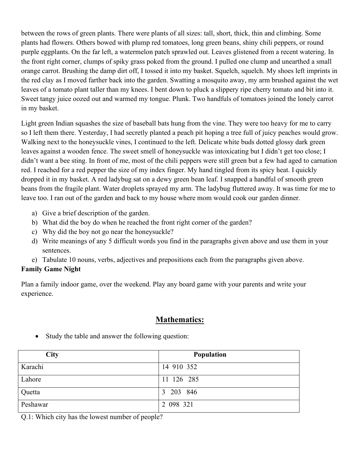between the rows of green plants. There were plants of all sizes: tall, short, thick, thin and climbing. Some plants had flowers. Others bowed with plump red tomatoes, long green beans, shiny chili peppers, or round purple eggplants. On the far left, a watermelon patch sprawled out. Leaves glistened from a recent watering. In the front right corner, clumps of spiky grass poked from the ground. I pulled one clump and unearthed a small orange carrot. Brushing the damp dirt off, I tossed it into my basket. Squelch, squelch. My shoes left imprints in the red clay as I moved farther back into the garden. Swatting a mosquito away, my arm brushed against the wet leaves of a tomato plant taller than my knees. I bent down to pluck a slippery ripe cherry tomato and bit into it. Sweet tangy juice oozed out and warmed my tongue. Plunk. Two handfuls of tomatoes joined the lonely carrot in my basket.

Light green Indian squashes the size of baseball bats hung from the vine. They were too heavy for me to carry so I left them there. Yesterday, I had secretly planted a peach pit hoping a tree full of juicy peaches would grow. Walking next to the honeysuckle vines, I continued to the left. Delicate white buds dotted glossy dark green leaves against a wooden fence. The sweet smell of honeysuckle was intoxicating but I didn't get too close; I didn't want a bee sting. In front of me, most of the chili peppers were still green but a few had aged to carnation red. I reached for a red pepper the size of my index finger. My hand tingled from its spicy heat. I quickly dropped it in my basket. A red ladybug sat on a dewy green bean leaf. I snapped a handful of smooth green beans from the fragile plant. Water droplets sprayed my arm. The ladybug fluttered away. It was time for me to leave too. I ran out of the garden and back to my house where mom would cook our garden dinner.

- a) Give a brief description of the garden.
- b) What did the boy do when he reached the front right corner of the garden?
- c) Why did the boy not go near the honeysuckle?
- d) Write meanings of any 5 difficult words you find in the paragraphs given above and use them in your sentences.
- e) Tabulate 10 nouns, verbs, adjectives and prepositions each from the paragraphs given above.

#### **Family Game Night**

Plan a family indoor game, over the weekend. Play any board game with your parents and write your experience.

#### **Mathematics:**

| <b>City</b> | <b>Population</b> |
|-------------|-------------------|
| Karachi     | 14 910 352        |
| Lahore      | 11 126 285        |
| Quetta      | 203 846<br>3      |
| Peshawar    | 2 098 321         |

• Study the table and answer the following question:

Q.1: Which city has the lowest number of people?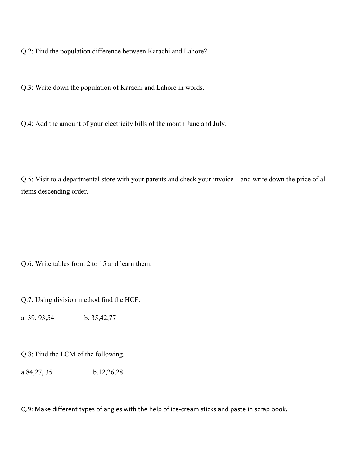Q.2: Find the population difference between Karachi and Lahore?

Q.3: Write down the population of Karachi and Lahore in words.

Q.4: Add the amount of your electricity bills of the month June and July.

Q.5: Visit to a departmental store with your parents and check your invoice and write down the price of all items descending order.

Q.6: Write tables from 2 to 15 and learn them.

Q.7: Using division method find the HCF.

a. 39, 93,54 b. 35,42,77

Q.8: Find the LCM of the following.

a.84,27, 35 b.12,26,28

Q.9: Make different types of angles with the help of ice-cream sticks and paste in scrap book**.**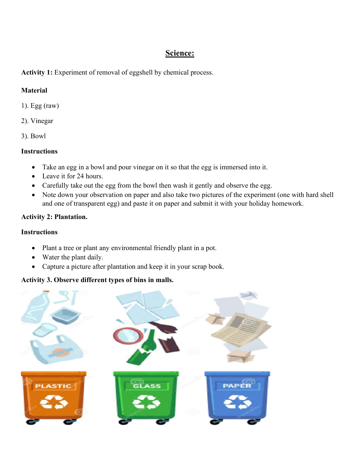#### **Science:**

#### **Activity 1:** Experiment of removal of eggshell by chemical process.

#### **Material**

- 1). Egg (raw)
- 2). Vinegar
- 3). Bowl

#### **Instructions**

- Take an egg in a bowl and pour vinegar on it so that the egg is immersed into it.
- Leave it for 24 hours.
- Carefully take out the egg from the bowl then wash it gently and observe the egg.
- Note down your observation on paper and also take two pictures of the experiment (one with hard shell and one of transparent egg) and paste it on paper and submit it with your holiday homework.

#### **Activity 2: Plantation.**

#### **Instructions**

- Plant a tree or plant any environmental friendly plant in a pot.
- Water the plant daily.
- Capture a picture after plantation and keep it in your scrap book.

#### **Activity 3. Observe different types of bins in malls.**

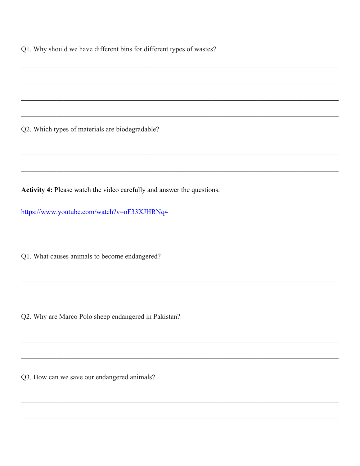Q1. Why should we have different bins for different types of wastes?

Q2. Which types of materials are biodegradable?

Activity 4: Please watch the video carefully and answer the questions.

https://www.youtube.com/watch?v=oF33XJHRNq4

Q1. What causes animals to become endangered?

Q2. Why are Marco Polo sheep endangered in Pakistan?

Q3. How can we save our endangered animals?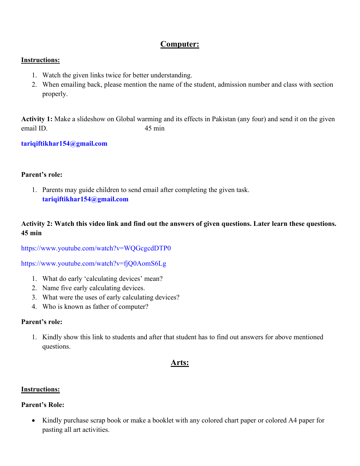#### **Computer:**

#### **Instructions:**

- 1. Watch the given links twice for better understanding.
- 2. When emailing back, please mention the name of the student, admission number and class with section properly.

**Activity 1:** Make a slideshow on Global warming and its effects in Pakistan (any four) and send it on the given email ID.45 min

**tariqiftikhar154@gmail.com**

#### **Parent's role:**

1. Parents may guide children to send email after completing the given task. **tariqiftikhar154@gmail.com**

#### **Activity 2: Watch this video link and find out the answers of given questions. Later learn these questions. 45 min**

https://www.youtube.com/watch?v=WQGcgcdDTP0

https://www.youtube.com/watch?v=fjQ0AomS6Lg

- 1. What do early 'calculating devices' mean?
- 2. Name five early calculating devices.
- 3. What were the uses of early calculating devices?
- 4. Who is known as father of computer?

#### **Parent's role:**

1. Kindly show this link to students and after that student has to find out answers for above mentioned questions.

#### **Arts:**

#### **Instructions:**

#### **Parent's Role:**

• Kindly purchase scrap book or make a booklet with any colored chart paper or colored A4 paper for pasting all art activities.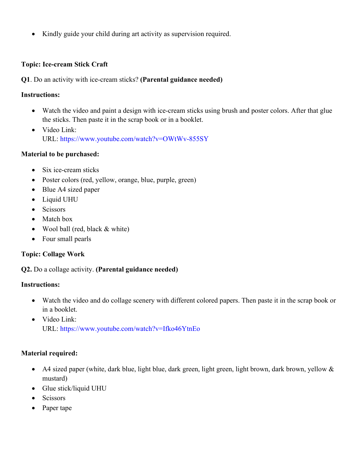• Kindly guide your child during art activity as supervision required.

#### **Topic: Ice-cream Stick Craft**

#### **Q1**. Do an activity with ice-cream sticks? **(Parental guidance needed)**

#### **Instructions:**

- Watch the video and paint a design with ice-cream sticks using brush and poster colors. After that glue the sticks. Then paste it in the scrap book or in a booklet.
- Video Link: URL: https://www.youtube.com/watch?v=OWtWv-855SY

#### **Material to be purchased:**

- Six ice-cream sticks
- Poster colors (red, yellow, orange, blue, purple, green)
- Blue A4 sized paper
- Liquid UHU
- Scissors
- Match box
- Wool ball (red, black & white)
- Four small pearls

#### **Topic: Collage Work**

#### **Q2.** Do a collage activity. **(Parental guidance needed)**

#### **Instructions:**

- Watch the video and do collage scenery with different colored papers. Then paste it in the scrap book or in a booklet.
- Video Link: URL: https://www.youtube.com/watch?v=Ifko46YtnEo

#### **Material required:**

- A4 sized paper (white, dark blue, light blue, dark green, light green, light brown, dark brown, yellow & mustard)
- Glue stick/liquid UHU
- Scissors
- Paper tape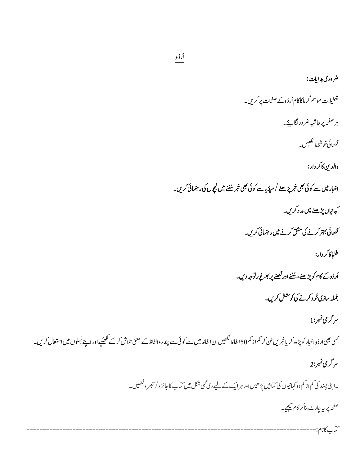# خر دری ہدایات: گغطیلاتِ موسم گرماکاکام اُردُوکے صفحات پر کریں۔ ہر صفحہ پر حاشیہ ضر وراگا ہےَ۔ ككھائى خوشخط لكھيں۔ والدين كاكر دار: اخبار میں سے کوئی بھی خمر پڑھنے /میڈیاسے کوئی بھی خبر سُننے میں ٹچوں کی رہنمائی کریں۔ 3 3 كہانياں پڑھنے ميں م*د* دكريں۔ ککھائی بہتر کرنے کی مشق کرنے میں رہنمائی کریں۔ طلباكاكردار: .<br>اُردُوك كام كوپڑھنے، سُننے اور لکھنے پر بھر لُور توجہ دیں۔ 3 j جُملہ سازی مُحود کرنے کی کوشش کریں۔ ىر گرمى نمبر:1 رُ ئسی بھی اُر دُواخبار کو پڑھ کریاخبریں سُ کر کم از کم 50 الفاظ کی الالتاظ سے پندرہ الفاظ کے معنی تلاش کر کے کھیںیے اور اپنے جُملوں میں استعال کریں۔<br>سی بھی اُر دُواخبار کو پڑھ کریاخبریں سُ کر کم از کم 50 الفاظ کمیں ان الفاظ ىر گرى نمبر:2

۔اپنی پسند کی کم از کم دو کہانیوں کی کتابیں پڑھیس اور ہر ایک کے لیے دی کئی شکل میں کتاب کا جائزہ / تبصرہ لکھیں۔

صفحہ پر بیہ چارٹ بناکر کام کیجیے۔

ÅÅÅÅÅÅÅÅÅÅÅÅÅÅÅ ÅÅÅÅÅÅÅÅÅÅÅÅÅÅÅÅÅÅÅÅÅÅÅÅÅÅÅÅÅÅÅÅÅÅÅÅÅÅÅÅÅÅÅÅÅÅÅÅÅÅÅÅÅÅÅÅÅÅÅÅÅÅÅÅÅÅÅÅÅ ÅÅÅÅÄop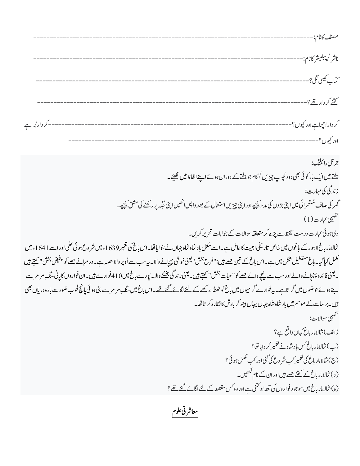| ناشر /پىبلىيشركانام:--            |  |
|-----------------------------------|--|
|                                   |  |
| كتنز كر داريتھى؟----------------- |  |
| کر داراچھاہےاور کیوں؟--------     |  |
| اور کيوں؟----------------         |  |

جرثل رائيتگ:

ہفتے میں ایک بار کوئی بھی دود کچیپ چیزیں / کام جو ہفتے کے دوران ہوئے اپنے الفاظ میں لکھیے۔ ز ند گې کې مهارت: گھر کی صاف سُنتھرائی میں اپنی بڑوں کی مد دیکھیے اور اپنی چیزیں استعمال کے بعد واپس انھیں اپنی جگہ پر رکھنے کی مشق کیچیے۔ تفہیمی عبارت(1) دی ہوئی عبارت درست تلفظ سے پڑھ کر متعلقہ سوالات کے جوابات تحریر کریں۔ شالامار باغ لاہور کے باغوں میں خاص تاریخی اہمیت کاحامل ہے۔اسے مُغل بادشاہ جہاں نے بنوایاتھا۔اس باغ کی نغمیر 1639ءمیں شر وع ہو ئی تھی اور اسے 1641ءمیں مکمل کیاگیا۔باغ مستطیل شکل میں ہے۔اس باغ کے تین <u>حصے</u> ہیں:"فرح بخش"یعنی خوشی پہچانے وال<sub>اس</sub>یہ سب سے اُوپر والاحصہ ہے۔در میانے حصے کو"فیض بخش" کہتے ہیں ۔لینی فائدہ پہنچانے والے اور سب سے پنیچے والے حصے کو" حیات بخش" کہتے ہیں۔لینی زندگی بخشنے والا۔لیورے ہائی۔ان سے این کے محت راسے ہیں۔ان فواروں کا پانی سنگ مر مرسے ہے ہوئے حوضوں میں گرتاہے۔ یہ فوارے گرمیوں میں باغ کو ٹھنڈ ارکھنے کے لئے لگائے گئے تھے۔اس باغ میں سنگ مر مرسے بنی ہوئی پانچ خُوب صُورت بارہ دریاں بھی ہیں۔برسات کے موسم میں باد شاہ شاہ جہاں یہاں بیٹھ کر بارش کا نظارہ کر تا تھا۔ تفهيمي سوالات: (الف)شالامار باغ كهان واقع ہے؟ (ب) شالامار باغ <sup>کس</sup> باد شاہ نے تعمیر کروایاتھا؟ (ج) شالامار باغ کی تغمیر کب شر وع کی گئی اور کب مکمل ہو ئی؟ ( د ) شالامار باغ کے کتنے حصے ہیں اور ان کے نام لکھیں۔ (ہ) شالامار باغ میں موجود فواروں کی تعداد کتنی ہے اور وہ *کس مقصد کے لئے لگائے گئے* تھے ؟

معاشرتي علوم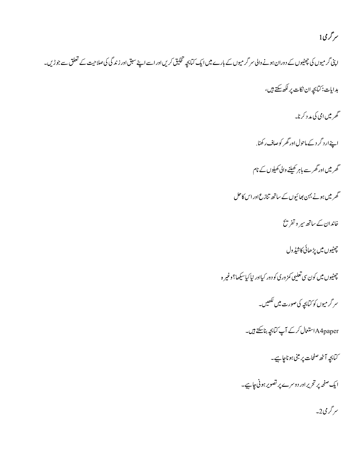## ىر گرى1

اپٹی گر میوں کی چھٹیوں کے دوران ہونے والی سر گر میوں کے بارے میں ایک تبابچہ تخلیق کریں اور اسے اپنے سبق اور زند گی کی صلاحیت کے تعلق سے جوڑیں۔

ہدایات: کیابچہ ان نکات پر لکھ سکتے ہیں،

گھرمیں امی کی مد د کرنا۔

اپنے ارد گر دے ماحول اور گھر کوصاف رکھنا.

گھر میں اور گھر سے باہر کھیلنے والی کھیلوں کے نام

گھر میں ہونے بہن بھائیوں کے ساتھ تنازع اور اس کاحل

خاندان کے ساتھ سیر و تفریح

چیٹیوں میں پڑھائی کاشیڈول

چیٹیوں میں کون سی تعلیی کمزوری کو دور کیااور نیاکیا <u>س</u>کھا؟ وغیر ہ

سر گرمیوں کو کیابچہ کی صورت میں لکھیں۔

A4paperاستعال کرکے آپ کتابچہ بناسکتے ہیں۔

۔<br>سابحہ آٹھ صفحات پر مبنی ہو ناچاہیے۔

ایک صفحہ پر تحریراور دوسرے پر تصویر ہونی چاہیے۔

سر گرمی 2۔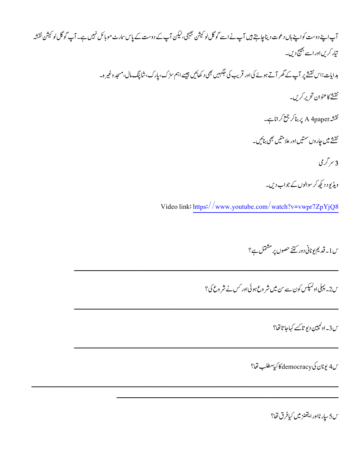# آپ اپنے دوست کواپنے ہاں دعوت دیناچاہتے ہیں آپ نے اسے گوگل لو کیشن بھیجی،لیکن آپ کے دوست کے پاس سارٹ موبائل نہیں ہے۔ آپ گوگل لو کیشن نقشہ تیار کریں اور اسے بھیج دیں۔ ہدایات:اس نقشے پر آپ کے گھر آتے ہوئے کی اور قریب کی حَکہبیں بھی د کھائیں جیسے اہم سڑک، یارک،شاپنگ مال،مسجد وغیر ہ۔ نقشے کاعنوان تحریر کریں۔ نقشہ A 4paper پر بناکر جمع کراناہے۔ نقشے میں چاروں سمتیں اور علامتیں بھی بنائیں۔ 3 سر گر می ویڈیو د دیکھ کر سوالوں کے جواب دیں۔ Video link: https://www.youtube.com/watch?v=vwpr7ZpYjQ8

س1۔ قدیم یونانی دور کتنے حصوں پر مشتمل ہے؟

س2۔ پہلی اولمپکس کون سے سن میں شر وع ہو ئی اور کس نے شر وع کی؟

س3۔ اوکمپین دیو تاسے کہاجا تاتھا؟

س4 يونان كىdemocracy كاكيامطلب قفا؟

س5 سيار ڻااور ايتھنز ميں کيافرق تھا؟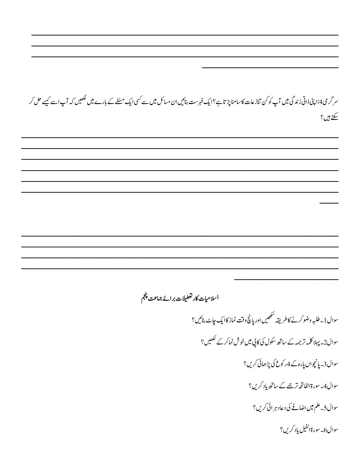سر گرمی4:اپنی ذاتی زندگی میں آپ کوکن تنازعات کاسامنا پڑتاہے؟ایک فہرست بنائیں ان مسائل میں سے کسی ایک مسئلے کے بارے میں لکھیں کہ آپ اسے کیسے حل کر سکتے ہیں؟

اسلاميات كارتعطيلات برائج جماعت پنجم

سوال 1 ـ طلبه وضو کرنے کاطریقہ شکھیں اور پانچ وقت نماز کاایک جاٹ بنائیں؟ سوال2۔ پہلا کلمہ تر جمہ کے ساتھ سکول کی کاپی میں خوش نماکر کے لکھیں؟ سوال 3۔ پانچواں پارہ کے 4رکوع کی پڑھائی کریں؟ سوال4۔ سورۃ الفاتحہ ترجمے کے ساتھ یاد کریں؟ سوال5۔ علم میں اضافے کی دعاد ہر ائی کریں؟ سوال6۔سورة الفيل ياد کريں؟